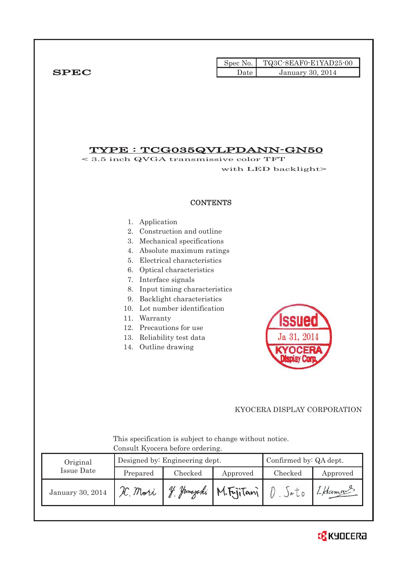|             |      | Spec No. TQ3C-8EAF0-E1YAD25-00 |
|-------------|------|--------------------------------|
| <b>SPEC</b> | Date | <b>January 30, 2014</b>        |

# TYPE : TCG035QVLPDANN-GN50

< 3.5 inch QVGA transmissive color TFT with LED backlight>

#### **CONTENTS**

- 1. Application
- 2. Construction and outline
- 3. Mechanical specifications
- 4. Absolute maximum ratings
- 5. Electrical characteristics
- 6. Optical characteristics
- 7. Interface signals
- 8. Input timing characteristics
- 9. Backlight characteristics
- 10. Lot number identification
- 11. Warranty
- 12. Precautions for use
- 13. Reliability test data
- 14. Outline drawing



## KYOCERA DISPLAY CORPORATION

 This specification is subject to change without notice. Consult Kyocera before ordering.

| Original          |          | Designed by: Engineering dept. | Confirmed by: QA dept. |         |          |
|-------------------|----------|--------------------------------|------------------------|---------|----------|
| <b>Issue Date</b> | Prepared | Checked                        | Approved               | Checked | Approved |
| January 30, 2014  | H. Mori  | Hamazaki<br>V                  | M.FriiTani             |         | I Hama   |

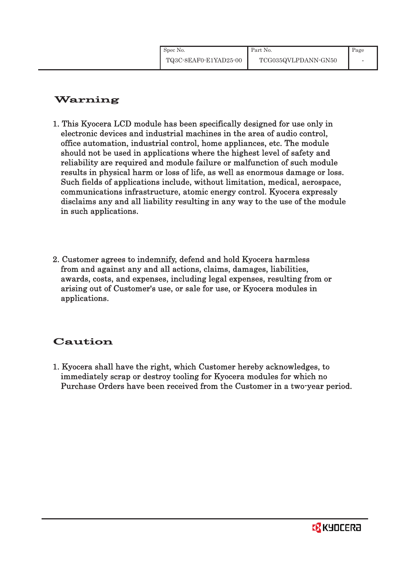# Warning

- 1. This Kyocera LCD module has been specifically designed for use only in electronic devices and industrial machines in the area of audio control, office automation, industrial control, home appliances, etc. The module should not be used in applications where the highest level of safety and reliability are required and module failure or malfunction of such module results in physical harm or loss of life, as well as enormous damage or loss. Such fields of applications include, without limitation, medical, aerospace, communications infrastructure, atomic energy control. Kyocera expressly disclaims any and all liability resulting in any way to the use of the module in such applications.
- 2. Customer agrees to indemnify, defend and hold Kyocera harmless from and against any and all actions, claims, damages, liabilities, awards, costs, and expenses, including legal expenses, resulting from or arising out of Customer's use, or sale for use, or Kyocera modules in applications.

# Caution

1. Kyocera shall have the right, which Customer hereby acknowledges, to immediately scrap or destroy tooling for Kyocera modules for which no Purchase Orders have been received from the Customer in a two-year period.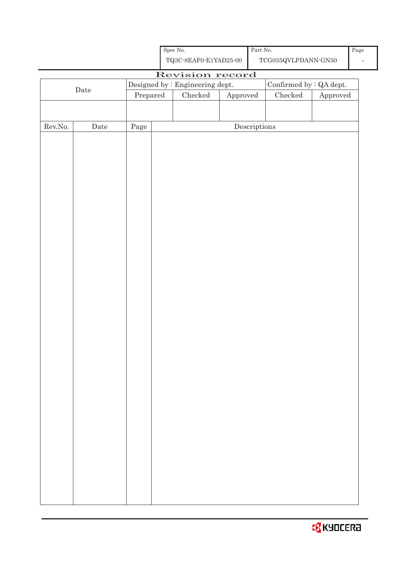|         | $\rm{Date}$ |                                  | Designed by : Engineering dept. |               | Confirmed by $\colon$ QA dept.       |               |                        |
|---------|-------------|----------------------------------|---------------------------------|---------------|--------------------------------------|---------------|------------------------|
|         |             | $\ensuremath{\mathrm{Prepared}}$ |                                 | $\rm Checked$ | Approved                             | $\rm Checked$ | ${\Large\bf Approved}$ |
|         |             |                                  |                                 |               |                                      |               |                        |
|         |             |                                  |                                 |               |                                      |               |                        |
| Rev.No. | $\rm{Date}$ | Page                             |                                 |               | $\label{eq:2} \textbf{Descriptions}$ |               |                        |
|         |             |                                  |                                 |               |                                      |               |                        |
|         |             |                                  |                                 |               |                                      |               |                        |
|         |             |                                  |                                 |               |                                      |               |                        |
|         |             |                                  |                                 |               |                                      |               |                        |
|         |             |                                  |                                 |               |                                      |               |                        |
|         |             |                                  |                                 |               |                                      |               |                        |
|         |             |                                  |                                 |               |                                      |               |                        |
|         |             |                                  |                                 |               |                                      |               |                        |
|         |             |                                  |                                 |               |                                      |               |                        |
|         |             |                                  |                                 |               |                                      |               |                        |
|         |             |                                  |                                 |               |                                      |               |                        |
|         |             |                                  |                                 |               |                                      |               |                        |
|         |             |                                  |                                 |               |                                      |               |                        |
|         |             |                                  |                                 |               |                                      |               |                        |
|         |             |                                  |                                 |               |                                      |               |                        |
|         |             |                                  |                                 |               |                                      |               |                        |
|         |             |                                  |                                 |               |                                      |               |                        |
|         |             |                                  |                                 |               |                                      |               |                        |
|         |             |                                  |                                 |               |                                      |               |                        |
|         |             |                                  |                                 |               |                                      |               |                        |
|         |             |                                  |                                 |               |                                      |               |                        |
|         |             |                                  |                                 |               |                                      |               |                        |
|         |             |                                  |                                 |               |                                      |               |                        |
|         |             |                                  |                                 |               |                                      |               |                        |
|         |             |                                  |                                 |               |                                      |               |                        |
|         |             |                                  |                                 |               |                                      |               |                        |
|         |             |                                  |                                 |               |                                      |               |                        |
|         |             |                                  |                                 |               |                                      |               |                        |
|         |             |                                  |                                 |               |                                      |               |                        |
|         |             |                                  |                                 |               |                                      |               |                        |
|         |             |                                  |                                 |               |                                      |               |                        |
|         |             |                                  |                                 |               |                                      |               |                        |
|         |             |                                  |                                 |               |                                      |               |                        |
|         |             |                                  |                                 |               |                                      |               |                        |

Revision record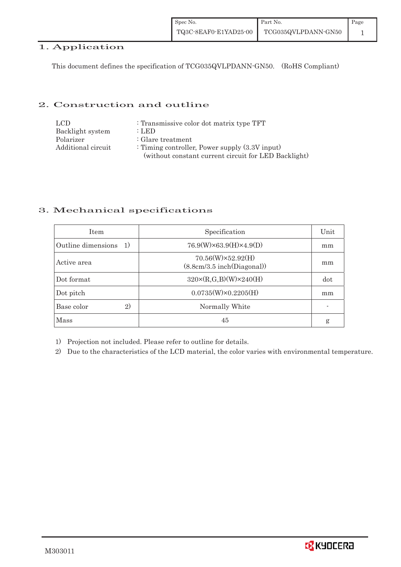| Spec No.              | Part No.            | $\blacksquare$ Page |
|-----------------------|---------------------|---------------------|
| TQ3C-8EAF0-E1YAD25-00 | TCG035QVLPDANN-GN50 |                     |

## 1. Application

This document defines the specification of TCG035QVLPDANN-GN50. (RoHS Compliant)

## 2. Construction and outline

| LCD.               | : Transmissive color dot matrix type TFT             |
|--------------------|------------------------------------------------------|
| Backlight system   | : LED                                                |
| Polarizer          | $\therefore$ Glare treatment                         |
| Additional circuit | : Timing controller, Power supply $(3.3V)$ input)    |
|                    | (without constant current circuit for LED Backlight) |

## 3. Mechanical specifications

| <b>Item</b>              | Specification                                         | Unit |
|--------------------------|-------------------------------------------------------|------|
| Outline dimensions<br>1) | $76.9(W)\times 63.9(H)\times 4.9(D)$                  | mm   |
| Active area              | $70.56(W)\times52.92(H)$<br>(8.8cm/3.5inch(Diagonal)) | mm   |
| Dot format               | $320 \times (R, G, B)(W) \times 240(H)$               | dot  |
| Dot pitch                | $0.0735(W)\times0.2205(H)$                            | mm   |
| 2)<br>Base color         | Normally White                                        |      |
| <b>Mass</b>              | 45                                                    | g    |

1) Projection not included. Please refer to outline for details.

2) Due to the characteristics of the LCD material, the color varies with environmental temperature.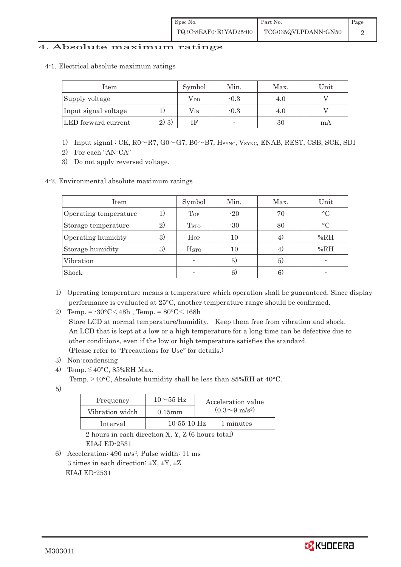## 4. Absolute maximum ratings

4-1.Electrical absolute maximum ratings

| Item                 |         | Symbol           | Min.   | Max. | Unit |
|----------------------|---------|------------------|--------|------|------|
| Supply voltage       |         | Vdd              | $-0.3$ | 4.0  |      |
| Input signal voltage |         | $\rm V_{\rm IN}$ | $-0.3$ | 4.0  |      |
| LED forward current  | $2)$ 3) |                  |        | 30   | mA   |

- 1) Input signal : CK, R0 ~ R7, G0 ~ G7, B0 ~ B7, HSYNC, VSYNC, ENAB, REST, CSB, SCK, SDI
- 2) For each "AN-CA"
- 3) Do not apply reversed voltage.
- 4-2. Environmental absolute maximum ratings

| Item                  |                | Symbol                  | Min.  | Max. | Unit      |
|-----------------------|----------------|-------------------------|-------|------|-----------|
| Operating temperature | $\overline{1}$ | Top                     | $-20$ | 70   | $\circ$ C |
| Storage temperature   | $\mathbf{2}$   | <b>T</b> <sub>STO</sub> | $-30$ | 80   | $\circ$ C |
| Operating humidity    | 3)             | $H_{OP}$                | 10    |      | %RH       |
| Storage humidity      | 3)             | <b>H</b> <sub>sto</sub> | 10    |      | %RH       |
| Vibration             |                |                         | 5)    | 5)   |           |
| Shock                 |                |                         | 6)    | 6)   |           |

1) Operating temperature means a temperature which operation shall be guaranteed. Since display performance is evaluated at 25°C, another temperature range should be confirmed.

2) Temp. =  $-30^{\circ}$ C $<$ 48h, Temp. =  $80^{\circ}$ C $<$ 168h

 Store LCD at normal temperature/humidity. Keep them free from vibration and shock. An LCD that is kept at a low or a high temperature for a long time can be defective due to other conditions, even if the low or high temperature satisfies the standard. (Please refer to "Precautions for Use" for details.)

- 3) Non-condensing
- 4) Temp.  $\leq 40^{\circ}$ C, 85%RH Max.
	- Temp.  $>$  40°C, Absolute humidity shall be less than 85%RH at 40°C.
- 5)

| Frequency       | $10\sim$ 55 Hz    | Acceleration value         |
|-----------------|-------------------|----------------------------|
| Vibration width | $0.15$ m m        | $(0.3{\sim}9~{\rm m/s^2})$ |
| Interval        | $10 - 55 - 10$ Hz | 1 minutes                  |

 2 hours in each direction X, Y, Z (6 hours total) EIAJ ED-2531

6) Acceleration: 490 m/s2, Pulse width: 11 ms 3 times in each direction:  $\pm X$ ,  $\pm Y$ ,  $\pm Z$ EIAJ ED-2531

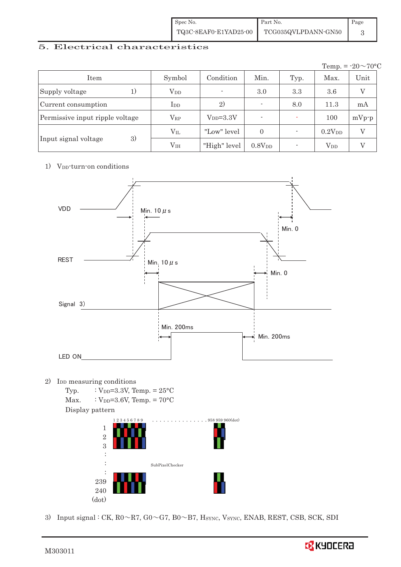| Spec No.              | Part No.            | Page |
|-----------------------|---------------------|------|
| TQ3C-8EAF0-E1YAD25-00 | TCG035QVLPDANN-GN50 |      |

## 5. Electrical characteristics

|                                 |                 |               |                    |      |                        | Temp. = $-20 \sim 70$ °C |
|---------------------------------|-----------------|---------------|--------------------|------|------------------------|--------------------------|
| Item                            | Symbol          | Condition     | Min.               | Typ. | Max.                   | Unit                     |
| Supply voltage                  | $V_{DD}$        |               | 3.0                | 3.3  | 3.6                    |                          |
| Current consumption             | $_{\rm{LDD}}$   | 2)            |                    | 8.0  | 11.3                   | mA                       |
| Permissive input ripple voltage | $\rm V_{RP}$    | $V_{DD}=3.3V$ | ۰                  |      | 100                    | $mVp-p$                  |
|                                 | $\rm V_{II}$    | "Low" level   | $\theta$           |      | 0.2V <sub>DD</sub>     | V                        |
| 3)<br>Input signal voltage      | V <sub>IH</sub> | "High" level  | 0.8V <sub>DD</sub> |      | <b>V</b> <sub>DD</sub> |                          |

#### 1) V<sub>DD</sub>-turn-on conditions



240 (dot) I

ļ

3) Input signal : CK,  $R0 \sim R7$ ,  $G0 \sim G7$ ,  $B0 \sim B7$ , HSYNC, VSYNC, ENAB, REST, CSB, SCK, SDI

239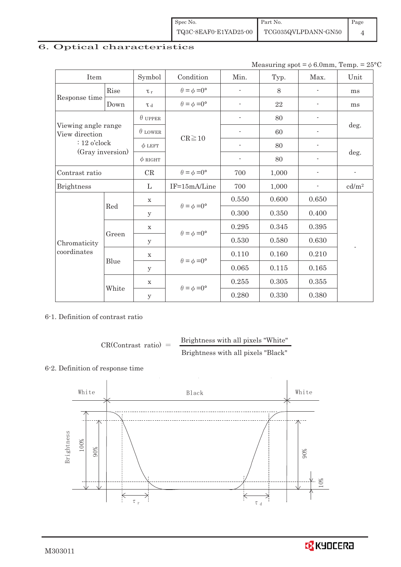| Spec No.              | Part No.            | Page |
|-----------------------|---------------------|------|
| TQ3C-8EAF0-E1YAD25-00 | TCG035QVLPDANN-GN50 |      |

# 6. Optical characteristics

Measuring spot =  $\phi$  6.0mm, Temp. = 25°C

| Item                                  |       | Symbol         | Condition                   | Min.                     | Typ.  | Max.                     | Unit              |
|---------------------------------------|-------|----------------|-----------------------------|--------------------------|-------|--------------------------|-------------------|
|                                       | Rise  | $\tau_r$       | $\theta = \phi = 0^{\circ}$ | $\overline{\phantom{a}}$ | 8     |                          | ms                |
| Response time                         | Down  | T d            | $\theta = \phi = 0^{\circ}$ |                          | 22    |                          | ms                |
|                                       |       | $\theta$ UPPER |                             |                          | 80    |                          |                   |
| Viewing angle range<br>View direction |       | $\theta$ LOWER |                             |                          | 60    |                          | deg.              |
| $: 12$ o'clock                        |       | $\phi$ LEFT    | $CR \ge 10$                 | $\overline{\phantom{a}}$ | 80    | $\overline{\phantom{a}}$ |                   |
| (Gray inversion)                      |       | $\phi$ RIGHT   |                             | $\overline{\phantom{a}}$ | 80    | $\overline{\phantom{0}}$ | deg.              |
| Contrast ratio                        |       | CR             | $\theta = \phi = 0^{\circ}$ | 700                      | 1,000 |                          | $\blacksquare$    |
| <b>Brightness</b>                     |       |                | IF=15mA/Line                | 700                      | 1,000 |                          | cd/m <sup>2</sup> |
|                                       | Red   | $\mathbf X$    | $\theta = \phi = 0^{\circ}$ | 0.550                    | 0.600 | 0.650                    |                   |
|                                       |       | У              |                             | 0.300                    | 0.350 | 0.400                    |                   |
|                                       |       | $\mathbf X$    | $\theta = \phi = 0^{\circ}$ | 0.295                    | 0.345 | 0.395                    |                   |
| Chromaticity                          | Green | У              |                             | 0.530                    | 0.580 | 0.630                    |                   |
| coordinates                           |       | $\mathbf X$    |                             | 0.110                    | 0.160 | 0.210                    |                   |
|                                       | Blue  | У              | $\theta = \phi = 0^{\circ}$ | 0.065                    | 0.115 | 0.165                    |                   |
|                                       |       | $\mathbf X$    | $\theta = \phi = 0^{\circ}$ | 0.255                    | 0.305 | 0.355                    |                   |
|                                       | White | y              |                             | 0.280                    | 0.330 | 0.380                    |                   |

6-1. Definition of contrast ratio

 $CR(Contrast ratio) =$  Brightness with all pixels "White" Brightness with all pixels "Black"

#### 6-2. Definition of response time



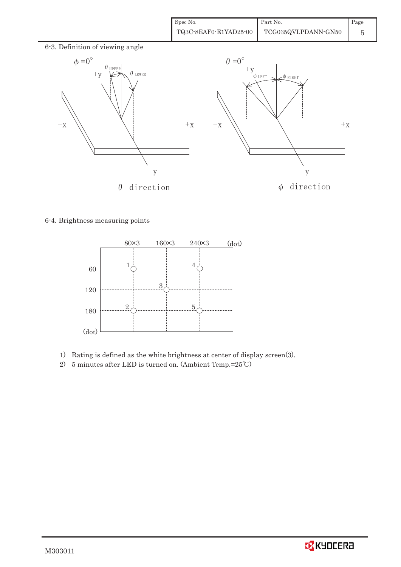| Spec No.              | Part No.            | $\blacksquare$ Page |
|-----------------------|---------------------|---------------------|
| TQ3C-8EAF0-E1YAD25-00 | TCG035QVLPDANN-GN50 |                     |



6-4. Brightness measuring points



- 1) Rating is defined as the white brightness at center of display screen(3).
- 2) 5 minutes after LED is turned on. (Ambient Temp.= $25^{\circ}$ C)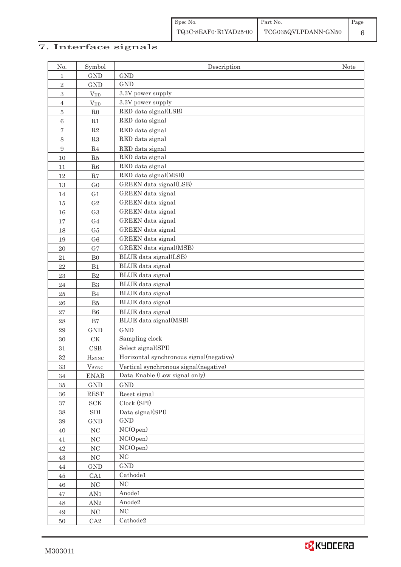# 7. Interface signals

| No.              | Symbol                   | Description                             | Note |
|------------------|--------------------------|-----------------------------------------|------|
| 1                | <b>GND</b>               | <b>GND</b>                              |      |
| $\sqrt{2}$       | <b>GND</b>               | <b>GND</b>                              |      |
| 3                | $V_{DD}$                 | 3.3V power supply                       |      |
| $\overline{4}$   | $V_{DD}$                 | 3.3V power supply                       |      |
| $\bf 5$          | ${\rm R0}$               | RED data signal(LSB)                    |      |
| 6                | R1                       | RED data signal                         |      |
| 7                | $\mathbf{R}2$            | RED data signal                         |      |
| 8                | R3                       | RED data signal                         |      |
| $\boldsymbol{9}$ | $\mathbf{R}4$            | RED data signal                         |      |
| 10               | ${\rm R5}$               | RED data signal                         |      |
| 11               | R6                       | RED data signal                         |      |
| 12               | R7                       | RED data signal(MSB)                    |      |
| 13               | G <sub>0</sub>           | GREEN data signal(LSB)                  |      |
| 14               | G <sub>1</sub>           | GREEN data signal                       |      |
| 15               | G <sub>2</sub>           | GREEN data signal                       |      |
| 16               | G <sub>3</sub>           | GREEN data signal                       |      |
| 17               | ${\rm G}4$               | GREEN data signal                       |      |
| 18               | G5                       | GREEN data signal                       |      |
| 19               | G <sub>6</sub>           | GREEN data signal                       |      |
| 20               | G7                       | GREEN data signal(MSB)                  |      |
| 21               | ${\rm B}0$               | BLUE data signal(LSB)                   |      |
| 22               | B1                       | BLUE data signal                        |      |
| 23               | B2                       | BLUE data signal                        |      |
| 24               | B3                       | BLUE data signal                        |      |
| 25               | $\rm B4$                 | BLUE data signal                        |      |
| ${\bf 26}$       | ${\rm B}5$               | BLUE data signal                        |      |
| 27               | ${\rm B}6$               | BLUE data signal                        |      |
| 28               | $\rm B7$                 | BLUE data signal(MSB)                   |      |
| 29               | <b>GND</b>               | <b>GND</b>                              |      |
| $30\,$           | $\mathrm{C}\mathrm{K}$   | Sampling clock                          |      |
| 31               | CSB                      | Select signal(SPI)                      |      |
| 32               | <b>H</b> <sub>SYNC</sub> | Horizontal synchronous signal(negative) |      |
| $33\,$           | <b>V</b> <sub>SYNC</sub> | Vertical synchronous signal(negative)   |      |
| 34               | <b>ENAB</b>              | Data Enable (Low signal only)           |      |
| $35\,$           | $\operatorname{GND}$     | <b>GND</b>                              |      |
| $36\,$           | <b>REST</b>              | Reset signal                            |      |
| $37\,$           | $\operatorname{SCK}$     | Clock (SPI)                             |      |
| $38\,$           | ${\rm SDI}$              | Data signal(SPI)                        |      |
| $39\,$           | $\operatorname{GND}$     | $\mathop{\rm GND}$                      |      |
| $40\,$           | $\rm NC$                 | NC(Open)                                |      |
| $41\,$           | $\rm NC$                 | NC(Open)                                |      |
| $42\,$           | $\rm NC$                 | NC(Open)                                |      |
| 43               | $\rm NC$                 | $\rm NC$                                |      |
| $44\,$           | $\operatorname{GND}$     | $\operatorname{GND}$                    |      |
| $45\,$           | CA1                      | Cathode1                                |      |
| $46\,$           | $\rm NC$                 | $\rm NC$                                |      |
| $47\,$           | AN1                      | Anode1                                  |      |
| $\sqrt{48}$      | $\mbox{AN}2$             | Anode2                                  |      |
| 49               | $\rm NC$                 | $\rm NC$                                |      |
| $50\,$           | ${\rm CA}2$              | Cathode2                                |      |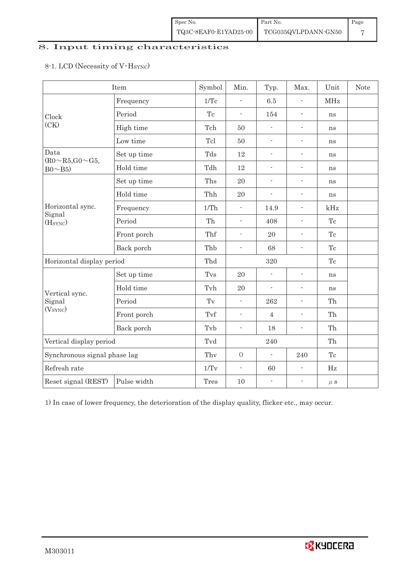| $\bullet$ Spec No.    | Part No.            | Page |
|-----------------------|---------------------|------|
| TQ3C-8EAF0-E1YAD25-00 | TCG035QVLPDANN-GN50 |      |

# 8. Input timing characteristics

# 8-1. LCD (Necessity of V·Hsync)

|                                    | Item        | Symbol              | Min.                     | Typ.                     | Max.                     | Unit       | <b>Note</b> |
|------------------------------------|-------------|---------------------|--------------------------|--------------------------|--------------------------|------------|-------------|
|                                    | Frequency   | 1/Tc                | L.                       | 6.5                      |                          | <b>MHz</b> |             |
| Clock                              | Period      | $\operatorname{Tc}$ | $\overline{a}$           | 154                      | $\blacksquare$           | ns         |             |
| (CK)                               | High time   | Tch                 | 50                       |                          | $\blacksquare$           | ns         |             |
|                                    | Low time    | Tcl                 | 50                       | $\overline{a}$           | $\overline{\phantom{a}}$ | ns         |             |
| Data<br>$(R0 \sim R5, G0 \sim G5,$ | Set up time | Tds                 | 12                       | $\frac{1}{2}$            | $\blacksquare$           | ns         |             |
| $Bo \sim B5$                       | Hold time   | Tdh                 | 12                       | ÷,                       | $\overline{\phantom{a}}$ | ns         |             |
|                                    | Set up time | Ths                 | 20                       | $\frac{1}{2}$            | $\overline{\phantom{a}}$ | ns         |             |
|                                    | Hold time   | Thh                 | $20\,$                   | $\frac{1}{2}$            | $\overline{\phantom{a}}$ | ns         |             |
| Horizontal sync.                   | Frequency   | 1/Th                | $\overline{\phantom{a}}$ | 14.9                     | $\overline{\phantom{a}}$ | kHz        |             |
| Signal<br>(H <sub>SYNC</sub> )     | Period      | Th                  | $\overline{\phantom{a}}$ | 408                      | $\overline{\phantom{a}}$ | Tc         |             |
|                                    | Front porch | Thf                 | $\overline{\phantom{a}}$ | 20                       | $\blacksquare$           | Tc         |             |
|                                    | Back porch  | Thb                 | $\overline{\phantom{a}}$ | 68                       | $\overline{\phantom{a}}$ | Tc         |             |
| Horizontal display period          |             | Thd                 |                          | 320                      |                          | Tc         |             |
|                                    | Set up time | Tvs                 | 20                       | $\frac{1}{2}$            | $\overline{\phantom{a}}$ | ns         |             |
| Vertical sync.                     | Hold time   | Tvh                 | 20                       | $\frac{1}{2}$            | $\overline{\phantom{a}}$ | ns         |             |
| Signal                             | Period      | $\operatorname{Tv}$ | $\blacksquare$           | 262                      | $\blacksquare$           | Th         |             |
| (V <sub>SYNC</sub> )               | Front porch | Tvf                 | $\blacksquare$           | $\overline{4}$           | $\overline{\phantom{a}}$ | Th         |             |
|                                    | Back porch  | Tvb                 | $\overline{\phantom{a}}$ | 18                       | $\overline{\phantom{a}}$ | Th         |             |
| Vertical display period            |             | Tvd                 |                          | 240                      |                          | Th         |             |
| Synchronous signal phase lag       |             | Thy                 | $\overline{O}$           | $\overline{\phantom{a}}$ | 240                      | Tc         |             |
| Refresh rate                       |             | 1/Tv                | $\blacksquare$           | 60                       | $\frac{1}{2}$            | Hz         |             |
| Reset signal (REST)                | Pulse width | Tres                | 10                       | $\overline{\phantom{0}}$ | $\blacksquare$           | $\mu$ s    |             |

1) In case of lower frequency, the deterioration of the display quality, flicker etc., may occur.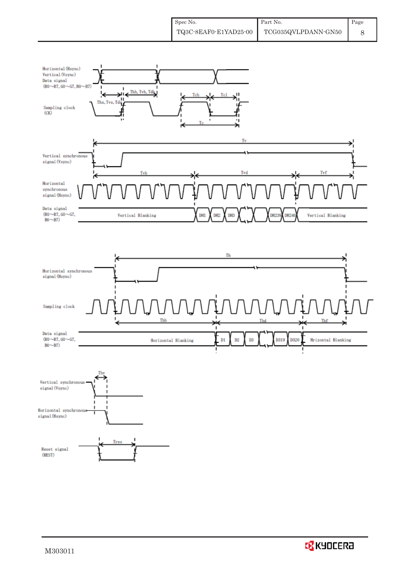





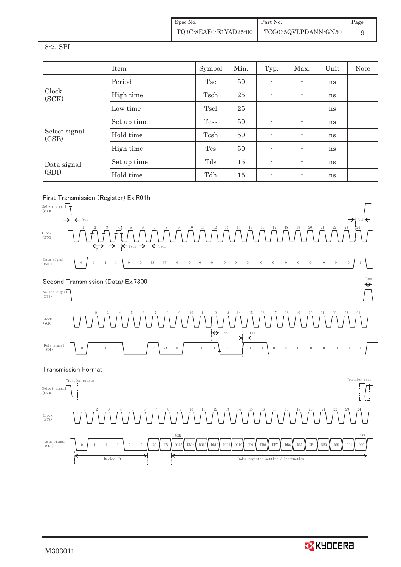Spec No. TQ3C-8EAF0-E1YAD25-00 Part No. TCG035QVLPDANN-GN50 Page 9

#### 8-2. SPI

|                        | Item        | Symbol       | Min. | Typ.                     | Max.                     | Unit | Note |
|------------------------|-------------|--------------|------|--------------------------|--------------------------|------|------|
|                        | Period      | Tsc          | 50   |                          |                          | ns   |      |
| Clock<br>(SCK)         | High time   | Tsch         | 25   | $\overline{\phantom{0}}$ | $\blacksquare$           | ns   |      |
|                        | Low time    | Tscl         | 25   | ۰                        | $\overline{\phantom{a}}$ | ns   |      |
|                        | Set up time | <b>T</b> css | 50   | ۰                        | $\overline{\phantom{a}}$ | ns   |      |
| Select signal<br>(CSB) | Hold time   | Tcsh         | 50   | $\sim$                   | $\blacksquare$           | ns   |      |
|                        | High time   | <b>Tcs</b>   | 50   | $\overline{\phantom{0}}$ | $\overline{\phantom{a}}$ | ns   |      |
| Data signal<br>(SDI)   | Set up time | Tds          | 15   | ۰                        | $\blacksquare$           | ns   |      |
|                        | Hold time   | Tdh          | 15   | $\overline{\phantom{a}}$ | $\overline{\phantom{a}}$ | ns   |      |

## 㻲㼕㼞㼟㼠㻌㼀㼞㼍㼚㼟㼙㼕㼟㼟㼕㼛㼚㻌㻔㻾㼑㼓㼕㼟㼠㼑㼞㻕㻌㻱㼤㻚㻾㻜㻝㼔



Data signal  $\begin{pmatrix} 0 & 1 & 1 & 1 \end{pmatrix}$   $\begin{pmatrix} 0 & 0 & 0 \end{pmatrix}$  RW  $\begin{pmatrix} 0 & 0 & 0 \end{pmatrix}$  DB15  $\begin{pmatrix} 0 & 0 & 0 \end{pmatrix}$  DB14  $\begin{pmatrix} 0 & 0 & 0 \end{pmatrix}$  DB12  $\begin{pmatrix} 0 & 0 & 0 \end{pmatrix}$  DB11  $\begin{pmatrix} 0 & 0 & 0 \end{pmatrix}$ Clock<br>(SCK)  $\begin{array}{ccc} 1 & 1 \end{array}$  0 0  $\begin{array}{ccc} \end{array}$  RS  $\begin{array}{ccc} \end{array}$  RW  $\begin{array}{ccc} \end{array}$  DB15  $\begin{array}{ccc} \end{array}$  DB13  $\begin{array}{ccc} \end{array}$  DB12 DB11 DB10 DB9 3 4 5 6 7 8 9 10 11 12 13 14 15 16 17 18  $\begin{array}{ccc} 0 & 1 & 1 \end{array}$   $\begin{array}{ccc} 1 & 1 \end{array}$   $\begin{array}{ccc} 0 & 0 \end{array}$   $\begin{array}{ccc} \begin{array}{ccc} \text{RS} & \text{RW} & \text{DB15} & \text{DB14} & \text{DB12} & \text{DB11} & \text{DB10} & \text{DB9} & \text{DB8} & \text{DB7} & \text{DB6} & \text{DB5} & \text{DB2} & \text{DB2} & \text{DB2} & \text{DB1} & \text{DB5} \end{array}$ 1 2 3 4 5 6 7 8 9 10 11 12 13 14 15 16 17 18 19 20 21 22 23 24 Device ID **The CONFERNATION** Index register setting / Instruction  $\angle$  MSB  $\angle$  LSE

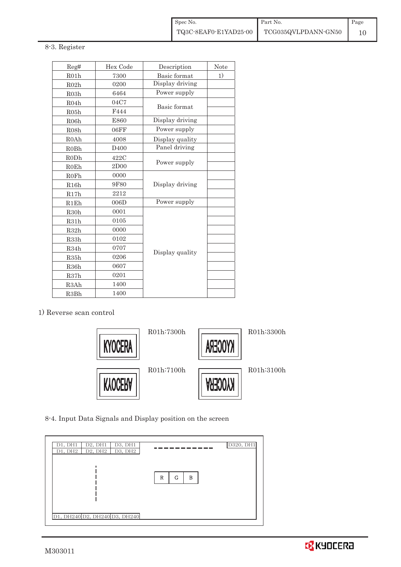#### 8-3. Register

| Reg#              | Hex Code         | Description     | Note |
|-------------------|------------------|-----------------|------|
| R01h              | 7300             | Basic format    | 1)   |
| R02h              | 0200             | Display driving |      |
| R03h              | 6464             | Power supply    |      |
| R04h              | 04C7             | Basic format    |      |
| R05h              | F444             |                 |      |
| R06h              | E860             | Display driving |      |
| R08h              | 06FF             | Power supply    |      |
| R <sub>0</sub> Ah | 4008             | Display quality |      |
| ROBh              | D <sub>400</sub> | Panel driving   |      |
| R <sub>0</sub> Dh | 422C             |                 |      |
| <b>R0Eh</b>       | 2D00             | Power supply    |      |
| <b>R0Fh</b>       | 0000             |                 |      |
| R16h              | 9F80             | Display driving |      |
| R17h              | 2212             |                 |      |
| R1Eh              | 006D             | Power supply    |      |
| R30h              | 0001             |                 |      |
| R31h              | 0105             |                 |      |
| R32h              | 0000             |                 |      |
| R33h              | 0102             |                 |      |
| R34h              | 0707             |                 |      |
| R35h              | 0206             | Display quality |      |
| R36h              | 0607             |                 |      |
| R37h              | 0201             |                 |      |
| R3Ah              | 1400             |                 |      |
| R <sub>3</sub> Bh | 1400             |                 |      |

#### 1) Reverse scan control



8-4. Input Data Signals and Display position on the screen

| D1, DH1<br>D2, DH1<br>D3, DH1<br>D2, DH2<br>D1, DH2<br>D3, DH2 |             | D320, DH1 |
|----------------------------------------------------------------|-------------|-----------|
| D1, DH240 D2, DH240 D3, DH240                                  | G<br>R<br>B |           |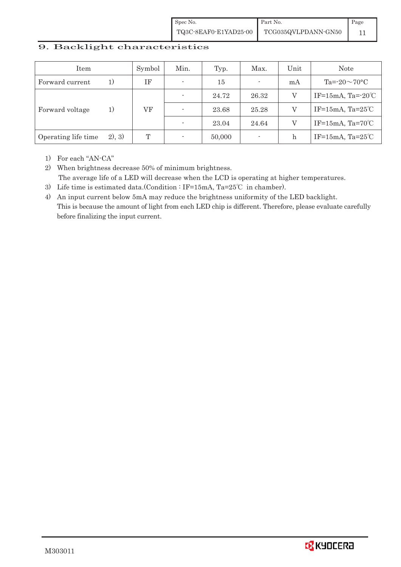Spec No. TQ3C-8EAF0-E1YAD25-00 Part No. TCG035QVLPDANN-GN50 Page 11

# Item Symbol Min. Typ. Max. Unit Note Forward current 1) IF  $\cdot$  15  $\cdot$  mA Ta=-20 $\sim$ 70°C Forward voltage  $1)$  VF  $-$  24.72 26.32 V IF=15mA, Ta=-20°C  $-$  23.68 25.28 V IF=15mA, Ta=25°C  $-$  23.04 24.64 V IF=15mA, Ta=70°C Operating life time 2), 3) T T - 50,000 - h IF=15mA, Ta=25°C

#### 9. Backlight characteristics

1) For each "AN-CA"

2) When brightness decrease 50% of minimum brightness. The average life of a LED will decrease when the LCD is operating at higher temperatures.

- 3) Life time is estimated data.(Condition : IF=15mA, Ta=25°C in chamber).
- 4) An input current below 5mA may reduce the brightness uniformity of the LED backlight. This is because the amount of light from each LED chip is different. Therefore, please evaluate carefully before finalizing the input current.

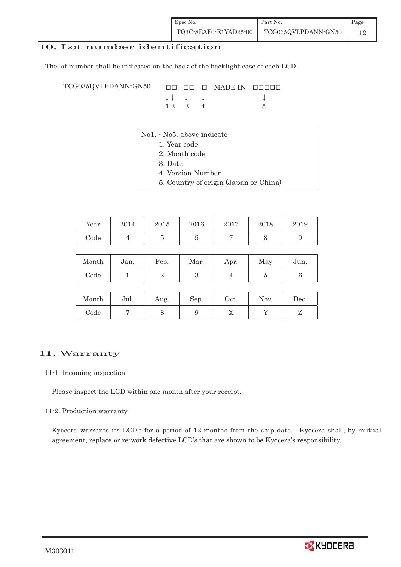## 10. Lot number identification

The lot number shall be indicated on the back of the backlight case of each LCD.

 $TCG035QVLPDANN\cdot GN50 - \Box\Box\cdot\Box\Box\cdot\Box$  MADE IN  $\Box$  $\Box$  $\Box$  $\downarrow \downarrow \quad \downarrow \quad \downarrow \qquad \qquad \downarrow$  $1 2 3 4 5$ 

- No1. No5. above indicate
	- 1. Year code
		- 2. Month code
		- 3. Date
		- 4. Version Number
		- 5. Country of origin (Japan or China)

| Year | 2014 | 2015 | 2016 | 2017 | 2018 | 2019 |
|------|------|------|------|------|------|------|
| Code |      | ◡    |      |      | ◡    |      |

| Month | Jan. | Feb. | Mar. | Apr. | May | Jun. |
|-------|------|------|------|------|-----|------|
| Code  |      |      |      |      |     |      |

| Month | Jul. | Aug. | Sep. | Oct.         | Nov. | $\operatorname{Dec.}$ |
|-------|------|------|------|--------------|------|-----------------------|
| Code  |      | U    |      | $\mathbf{v}$ |      |                       |

#### 11. Warranty

#### 11-1. Incoming inspection

Please inspect the LCD within one month after your receipt.

#### 11-2. Production warranty

 Kyocera warrants its LCD's for a period of 12 months from the ship date. Kyocera shall, by mutual agreement, replace or re-work defective LCD's that are shown to be Kyocera's responsibility.

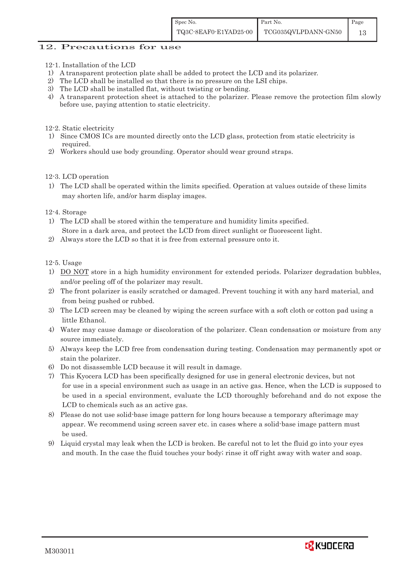## 12. Precautions for use

- 12-1. Installation of the LCD
- 1) A transparent protection plate shall be added to protect the LCD and its polarizer.
- 2) The LCD shall be installed so that there is no pressure on the LSI chips.
- 3) The LCD shall be installed flat, without twisting or bending.
- 4) A transparent protection sheet is attached to the polarizer. Please remove the protection film slowly before use, paying attention to static electricity.
- 12-2. Static electricity
- 1) Since CMOS ICs are mounted directly onto the LCD glass, protection from static electricity is required.
- 2) Workers should use body grounding. Operator should wear ground straps.

#### 12-3. LCD operation

1) The LCD shall be operated within the limits specified. Operation at values outside of these limits may shorten life, and/or harm display images.

#### 12-4. Storage

- 1) The LCD shall be stored within the temperature and humidity limits specified. Store in a dark area, and protect the LCD from direct sunlight or fluorescent light.
- 2) Always store the LCD so that it is free from external pressure onto it.

12-5. Usage

- 1) DO NOT store in a high humidity environment for extended periods. Polarizer degradation bubbles, and/or peeling off of the polarizer may result.
- 2) The front polarizer is easily scratched or damaged. Prevent touching it with any hard material, and from being pushed or rubbed.
- 3) The LCD screen may be cleaned by wiping the screen surface with a soft cloth or cotton pad using a little Ethanol.
- 4) Water may cause damage or discoloration of the polarizer. Clean condensation or moisture from any source immediately.
- 5) Always keep the LCD free from condensation during testing. Condensation may permanently spot or stain the polarizer.
- 6) Do not disassemble LCD because it will result in damage.
- 7) This Kyocera LCD has been specifically designed for use in general electronic devices, but not for use in a special environment such as usage in an active gas. Hence, when the LCD is supposed to be used in a special environment, evaluate the LCD thoroughly beforehand and do not expose the LCD to chemicals such as an active gas.
- 8) Please do not use solid-base image pattern for long hours because a temporary afterimage may appear. We recommend using screen saver etc. in cases where a solid-base image pattern must be used.
- 9) Liquid crystal may leak when the LCD is broken. Be careful not to let the fluid go into your eyes and mouth. In the case the fluid touches your body; rinse it off right away with water and soap.

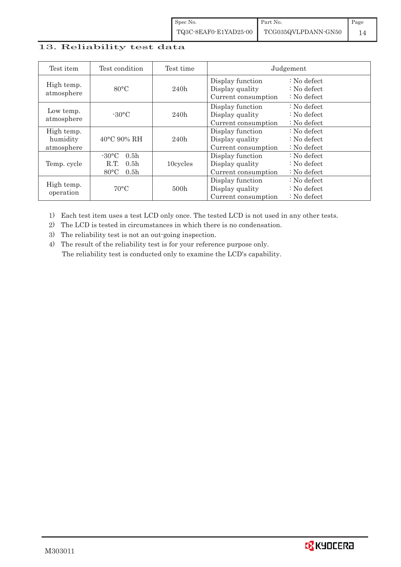## 13. Reliability test data

| Test item                            | Test condition                                                                                        | Test time |                                                            | Judgement                                                                  |
|--------------------------------------|-------------------------------------------------------------------------------------------------------|-----------|------------------------------------------------------------|----------------------------------------------------------------------------|
| High temp.<br>atmosphere             | $80^{\circ}$ C                                                                                        | 240h      | Display function<br>Display quality<br>Current consumption | $\therefore$ No defect<br>$\therefore$ No defect<br>$\therefore$ No defect |
| Low temp.<br>atmosphere              | $-30$ °C                                                                                              | 240h      | Display function<br>Display quality<br>Current consumption | $\therefore$ No defect<br>$\therefore$ No defect<br>$\therefore$ No defect |
| High temp.<br>humidity<br>atmosphere | 40°C 90% RH                                                                                           | 240h      | Display function<br>Display quality<br>Current consumption | : No defect<br>$\therefore$ No defect<br>$\therefore$ No defect            |
| Temp. cycle                          | $-30^{\circ}$ C<br>0.5 <sub>h</sub><br>0.5 <sub>h</sub><br>R.T.<br>$80^{\circ}$ C<br>0.5 <sub>h</sub> | 10cycles  | Display function<br>Display quality<br>Current consumption | $\therefore$ No defect<br>$\therefore$ No defect<br>$\therefore$ No defect |
| High temp.<br>operation              | $70^{\circ}$ C                                                                                        | 500h      | Display function<br>Display quality<br>Current consumption | : No defect<br>$\therefore$ No defect<br>$\therefore$ No defect            |

1) Each test item uses a test LCD only once. The tested LCD is not used in any other tests.

2) The LCD is tested in circumstances in which there is no condensation.

3) The reliability test is not an out-going inspection.

4) The result of the reliability test is for your reference purpose only. The reliability test is conducted only to examine the LCD's capability.

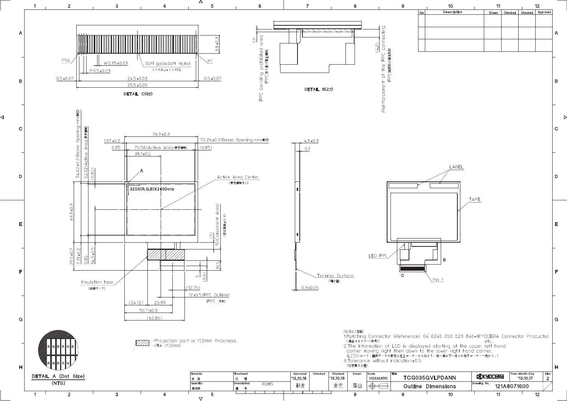

∢

Þ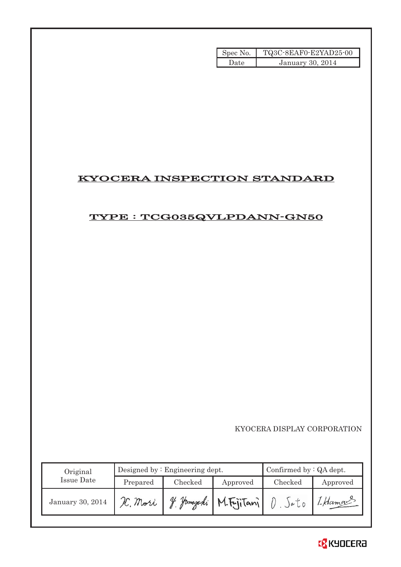| Spec No. | TQ3C-8EAF0-E2YAD25-00 |
|----------|-----------------------|
| Date.    | January 30, 2014      |

# KYOCERA INSPECTION STANDARD

# TYPE : TCG035QVLPDANN-GN50

|                   |          |                                 | Spec No.   | TQ3C-8EAF0-E2YAD25-00              |                     |
|-------------------|----------|---------------------------------|------------|------------------------------------|---------------------|
|                   |          |                                 | Date       | January 30, 2014                   |                     |
|                   |          |                                 |            |                                    |                     |
|                   |          |                                 |            |                                    |                     |
|                   |          |                                 |            |                                    |                     |
|                   |          |                                 |            |                                    |                     |
|                   |          |                                 |            |                                    |                     |
|                   |          |                                 |            |                                    |                     |
|                   |          |                                 |            |                                    |                     |
|                   |          |                                 |            |                                    |                     |
|                   |          |                                 |            | <b>KYOCERA INSPECTION STANDARD</b> |                     |
|                   |          |                                 |            |                                    |                     |
|                   |          |                                 |            |                                    |                     |
|                   |          |                                 |            | TYPE : TCG035QVLPDANN-GN50         |                     |
|                   |          |                                 |            |                                    |                     |
|                   |          |                                 |            |                                    |                     |
|                   |          |                                 |            |                                    |                     |
|                   |          |                                 |            |                                    |                     |
|                   |          |                                 |            |                                    |                     |
|                   |          |                                 |            |                                    |                     |
|                   |          |                                 |            |                                    |                     |
|                   |          |                                 |            |                                    |                     |
|                   |          |                                 |            |                                    |                     |
|                   |          |                                 |            |                                    |                     |
|                   |          |                                 |            |                                    |                     |
|                   |          |                                 |            |                                    |                     |
|                   |          |                                 |            |                                    |                     |
|                   |          |                                 |            |                                    |                     |
|                   |          |                                 |            |                                    |                     |
|                   |          |                                 |            |                                    |                     |
|                   |          |                                 |            |                                    |                     |
|                   |          |                                 |            | KYOCERA DISPLAY CORPORATION        |                     |
|                   |          |                                 |            |                                    |                     |
|                   |          |                                 |            |                                    |                     |
| Original          |          | Designed by : Engineering dept. |            | Confirmed by : QA dept.            |                     |
| <b>Issue Date</b> | Prepared | Checked                         | Approved   | Checked                            |                     |
| January 30, 2014  | H. Mori  | y. Jamazaki                     | M.FujiTani | $D.$ Sato                          | Approved<br>I Hamas |

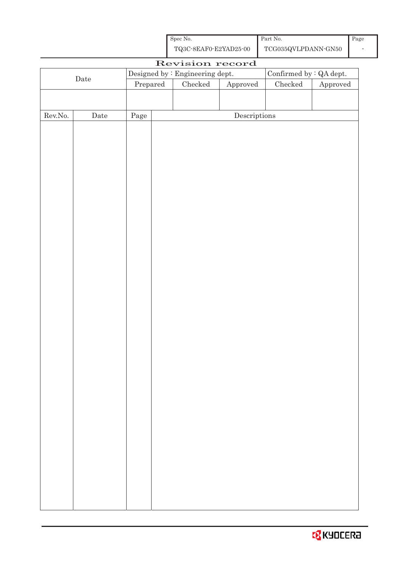| Spec No.              | Part No.            | Page |
|-----------------------|---------------------|------|
| TQ3C-8EAF0-E2YAD25-00 | TCG035QVLPDANN-GN50 |      |

| Revision record<br>Confirmed by $\colon$ QA dept.<br>Designed by : Engineering dept.<br>$\rm{Date}$<br>$\rm Checked$<br>${\it Checked}$<br>Prepared<br>${\Large\bf Approved}$<br>${\Large\bf Approved}$<br>$\label{eq:2} \textbf{Descriptions}$<br>${\rm Rev. No.}$<br>$\rm{\textbf{Date}}$<br>$\rm Page$ |
|-----------------------------------------------------------------------------------------------------------------------------------------------------------------------------------------------------------------------------------------------------------------------------------------------------------|
|                                                                                                                                                                                                                                                                                                           |
|                                                                                                                                                                                                                                                                                                           |
|                                                                                                                                                                                                                                                                                                           |
|                                                                                                                                                                                                                                                                                                           |
|                                                                                                                                                                                                                                                                                                           |
|                                                                                                                                                                                                                                                                                                           |
|                                                                                                                                                                                                                                                                                                           |
|                                                                                                                                                                                                                                                                                                           |
|                                                                                                                                                                                                                                                                                                           |
|                                                                                                                                                                                                                                                                                                           |
|                                                                                                                                                                                                                                                                                                           |
|                                                                                                                                                                                                                                                                                                           |
|                                                                                                                                                                                                                                                                                                           |
|                                                                                                                                                                                                                                                                                                           |
|                                                                                                                                                                                                                                                                                                           |
|                                                                                                                                                                                                                                                                                                           |
|                                                                                                                                                                                                                                                                                                           |
|                                                                                                                                                                                                                                                                                                           |
|                                                                                                                                                                                                                                                                                                           |
|                                                                                                                                                                                                                                                                                                           |
|                                                                                                                                                                                                                                                                                                           |
|                                                                                                                                                                                                                                                                                                           |
|                                                                                                                                                                                                                                                                                                           |
|                                                                                                                                                                                                                                                                                                           |
|                                                                                                                                                                                                                                                                                                           |
|                                                                                                                                                                                                                                                                                                           |
|                                                                                                                                                                                                                                                                                                           |
|                                                                                                                                                                                                                                                                                                           |
|                                                                                                                                                                                                                                                                                                           |
|                                                                                                                                                                                                                                                                                                           |
|                                                                                                                                                                                                                                                                                                           |
|                                                                                                                                                                                                                                                                                                           |
|                                                                                                                                                                                                                                                                                                           |
|                                                                                                                                                                                                                                                                                                           |
|                                                                                                                                                                                                                                                                                                           |
|                                                                                                                                                                                                                                                                                                           |
|                                                                                                                                                                                                                                                                                                           |
|                                                                                                                                                                                                                                                                                                           |
|                                                                                                                                                                                                                                                                                                           |
|                                                                                                                                                                                                                                                                                                           |
|                                                                                                                                                                                                                                                                                                           |

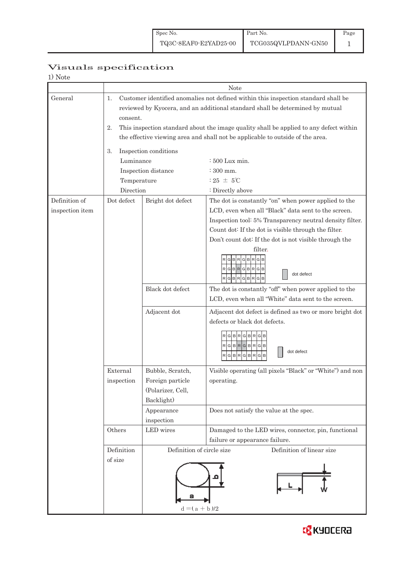# Visuals specification

| Note |
|------|
|------|

|                 |                                                                                                                                                                                       | Note                      |                                                                                                                                                                          |  |  |  |
|-----------------|---------------------------------------------------------------------------------------------------------------------------------------------------------------------------------------|---------------------------|--------------------------------------------------------------------------------------------------------------------------------------------------------------------------|--|--|--|
| General         | Customer identified anomalies not defined within this inspection standard shall be<br>1.<br>reviewed by Kyocera, and an additional standard shall be determined by mutual<br>consent. |                           |                                                                                                                                                                          |  |  |  |
|                 | 2.                                                                                                                                                                                    |                           | This inspection standard about the image quality shall be applied to any defect within<br>the effective viewing area and shall not be applicable to outside of the area. |  |  |  |
|                 | Inspection conditions<br>3.<br>Luminance                                                                                                                                              |                           |                                                                                                                                                                          |  |  |  |
|                 |                                                                                                                                                                                       | Inspection distance       | : 500 Lux min.<br>$\div 300$ mm.                                                                                                                                         |  |  |  |
|                 | Temperature                                                                                                                                                                           |                           | : 25 $\pm$ 5°C                                                                                                                                                           |  |  |  |
|                 | Direction                                                                                                                                                                             |                           | : Directly above                                                                                                                                                         |  |  |  |
| Definition of   | Dot defect                                                                                                                                                                            | Bright dot defect         | The dot is constantly "on" when power applied to the                                                                                                                     |  |  |  |
| inspection item |                                                                                                                                                                                       |                           | LCD, even when all "Black" data sent to the screen.                                                                                                                      |  |  |  |
|                 |                                                                                                                                                                                       |                           | Inspection tool: 5% Transparency neutral density filter.                                                                                                                 |  |  |  |
|                 |                                                                                                                                                                                       |                           | Count dot: If the dot is visible through the filter.                                                                                                                     |  |  |  |
|                 |                                                                                                                                                                                       |                           | Don't count dot: If the dot is not visible through the                                                                                                                   |  |  |  |
|                 |                                                                                                                                                                                       |                           | filter.<br>$\boxdot$<br>G<br>R G<br>в<br>RGBRGBRGB<br>dot defect<br>RGBRGBRGB                                                                                            |  |  |  |
|                 |                                                                                                                                                                                       | Black dot defect          | The dot is constantly "off" when power applied to the                                                                                                                    |  |  |  |
|                 |                                                                                                                                                                                       |                           | LCD, even when all "White" data sent to the screen.                                                                                                                      |  |  |  |
|                 |                                                                                                                                                                                       | Adjacent dot              | Adjacent dot defect is defined as two or more bright dot                                                                                                                 |  |  |  |
|                 |                                                                                                                                                                                       |                           | defects or black dot defects.                                                                                                                                            |  |  |  |
|                 |                                                                                                                                                                                       |                           | BRGBRG<br>G<br>RGBRGBRGB<br>dot defect<br>r G B R G B R<br>G                                                                                                             |  |  |  |
|                 | External                                                                                                                                                                              | Bubble, Scratch,          | Visible operating (all pixels "Black" or "White") and non                                                                                                                |  |  |  |
|                 | inspection                                                                                                                                                                            | Foreign particle          | operating.                                                                                                                                                               |  |  |  |
|                 |                                                                                                                                                                                       | (Polarizer, Cell,         |                                                                                                                                                                          |  |  |  |
|                 |                                                                                                                                                                                       | Backlight)                |                                                                                                                                                                          |  |  |  |
|                 |                                                                                                                                                                                       | Appearance                | Does not satisfy the value at the spec.                                                                                                                                  |  |  |  |
|                 |                                                                                                                                                                                       | inspection                |                                                                                                                                                                          |  |  |  |
|                 | Others                                                                                                                                                                                | LED wires                 | Damaged to the LED wires, connector, pin, functional                                                                                                                     |  |  |  |
|                 |                                                                                                                                                                                       |                           | failure or appearance failure.                                                                                                                                           |  |  |  |
|                 | Definition                                                                                                                                                                            | Definition of circle size | Definition of linear size                                                                                                                                                |  |  |  |
|                 | of size                                                                                                                                                                               |                           |                                                                                                                                                                          |  |  |  |
|                 |                                                                                                                                                                                       | $d = (a + b)/2$           |                                                                                                                                                                          |  |  |  |